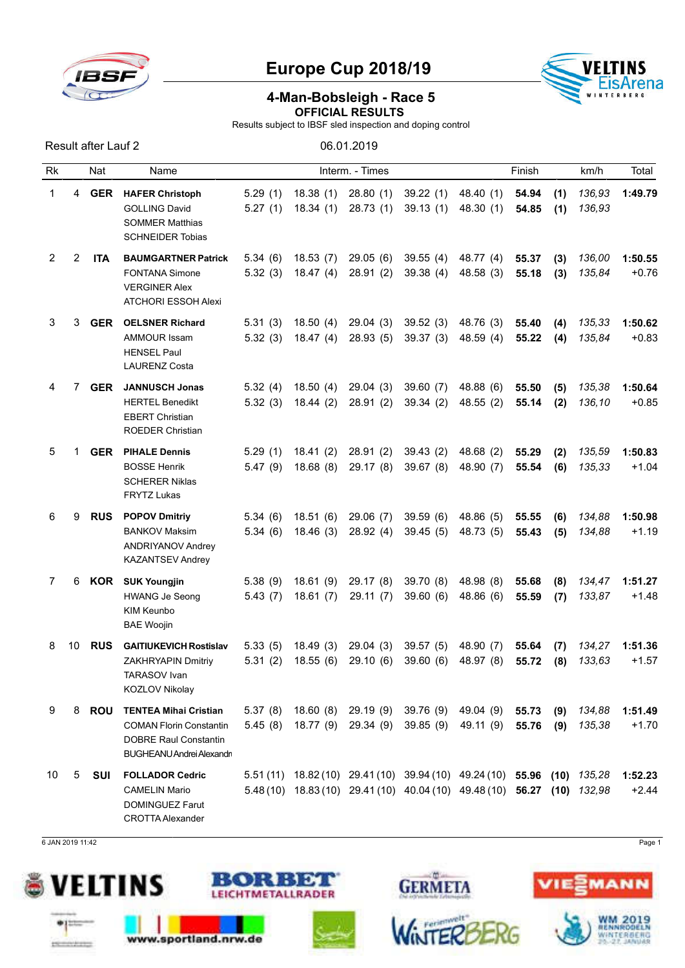

Result after Lauf 2 06.01.2019

## Europe Cup 2018/19



## 4-Man-Bobsleigh - Race 5 OFFICIAL RESULTS

Results subject to IBSF sled inspection and doping control

| Rk             |    | Nat        | Name                                                                                                                        |                    |                      | Interm. - Times                 |                                                                                                                                                         |                                  | Finish         |            | km/h             | Total              |
|----------------|----|------------|-----------------------------------------------------------------------------------------------------------------------------|--------------------|----------------------|---------------------------------|---------------------------------------------------------------------------------------------------------------------------------------------------------|----------------------------------|----------------|------------|------------------|--------------------|
| 1              | 4  | <b>GER</b> | <b>HAFER Christoph</b><br><b>GOLLING David</b><br><b>SOMMER Matthias</b><br><b>SCHNEIDER Tobias</b>                         | 5.29(1)<br>5.27(1) | 18.38(1)<br>18.34(1) | 28.80(1)<br>28.73(1)            | 39.22(1)<br>39.13(1)                                                                                                                                    | 48.40 (1)<br>48.30 (1)           | 54.94<br>54.85 | (1)<br>(1) | 136,93<br>136,93 | 1:49.79            |
| $\overline{2}$ | 2  | <b>ITA</b> | <b>BAUMGARTNER Patrick</b><br><b>FONTANA Simone</b><br><b>VERGINER Alex</b><br>ATCHORI ESSOH Alexi                          | 5.34(6)<br>5.32(3) | 18.53(7)<br>18.47(4) | 29.05(6)<br>28.91(2)            | 39.55(4)<br>39.38(4)                                                                                                                                    | 48.77 (4)<br>48.58 (3)           | 55.37<br>55.18 | (3)<br>(3) | 136,00<br>135,84 | 1:50.55<br>$+0.76$ |
| 3              | 3  | <b>GER</b> | <b>OELSNER Richard</b><br><b>AMMOUR Issam</b><br><b>HENSEL Paul</b><br><b>LAURENZ Costa</b>                                 | 5.31(3)<br>5.32(3) | 18.50(4)<br>18.47(4) | 29.04(3)<br>28.93(5)            | 39.52(3)<br>39.37(3)                                                                                                                                    | 48.76 (3)<br>48.59 (4)           | 55.40<br>55.22 | (4)<br>(4) | 135,33<br>135,84 | 1:50.62<br>$+0.83$ |
| 4              | 7  | <b>GER</b> | <b>JANNUSCH Jonas</b><br><b>HERTEL Benedikt</b><br><b>EBERT Christian</b><br><b>ROEDER Christian</b>                        | 5.32(4)<br>5.32(3) | 18.50(4)<br>18.44(2) | 29.04(3)<br>28.91(2)            | 39.60(7)<br>39.34(2)                                                                                                                                    | 48.88 (6)<br>48.55 (2)           | 55.50<br>55.14 | (5)<br>(2) | 135,38<br>136.10 | 1:50.64<br>$+0.85$ |
| 5              | 1  | <b>GER</b> | <b>PIHALE Dennis</b><br><b>BOSSE Henrik</b><br><b>SCHERER Niklas</b><br><b>FRYTZ Lukas</b>                                  | 5.29(1)<br>5.47(9) | 18.41(2)<br>18.68(8) | 28.91(2)<br>29.17(8)            | 39.43(2)<br>39.67(8)                                                                                                                                    | 48.68 (2)<br>48.90 (7)           | 55.29<br>55.54 | (2)<br>(6) | 135,59<br>135,33 | 1:50.83<br>$+1.04$ |
| 6              | 9  | <b>RUS</b> | <b>POPOV Dmitriy</b><br><b>BANKOV Maksim</b><br><b>ANDRIYANOV Andrey</b><br><b>KAZANTSEV Andrey</b>                         | 5.34(6)<br>5.34(6) | 18.51(6)<br>18.46(3) | 29.06(7)<br>28.92(4)            | 39.59(6)<br>39.45(5)                                                                                                                                    | 48.86 (5)<br>48.73 (5)           | 55.55<br>55.43 | (6)<br>(5) | 134,88<br>134,88 | 1:50.98<br>$+1.19$ |
| 7              | 6  | KOR        | <b>SUK Youngjin</b><br><b>HWANG Je Seong</b><br><b>KIM Keunbo</b><br><b>BAE Woojin</b>                                      | 5.38(9)<br>5.43(7) | 18.61(9)<br>18.61(7) | 29.17(8)<br>29.11(7)            | 39.70(8)<br>39.60(6)                                                                                                                                    | 48.98 (8)<br>48.86 (6)           | 55.68<br>55.59 | (8)<br>(7) | 134,47<br>133,87 | 1:51.27<br>$+1.48$ |
| 8              | 10 | <b>RUS</b> | <b>GAITIUKEVICH Rostislav</b><br>ZAKHRYAPIN Dmitriy<br>TARASOV Ivan<br>KOZLOV Nikolay                                       | 5.33(5)<br>5.31(2) | 18.49(3)<br>18.55(6) | 29.04(3)<br>29.10(6)            | 39.57(5)<br>39.60(6)                                                                                                                                    | 48.90 (7)<br>48.97 (8)           | 55.64<br>55.72 | (7)<br>(8) | 134,27<br>133,63 | 1:51.36<br>$+1.57$ |
| 9              | 8  | <b>ROU</b> | <b>TENTEA Mihai Cristian</b><br><b>COMAN Florin Constantin</b><br><b>DOBRE Raul Constantin</b><br>BUGHEANU Andrei Alexandri | 5.37(8)<br>5.45(8) | 18.77 (9)            | 18.60 (8) 29.19 (9)<br>29.34(9) | 39.85(9)                                                                                                                                                | 39.76 (9) 49.04 (9)<br>49.11 (9) | 55.73<br>55.76 | (9)<br>(9) | 134,88<br>135,38 | 1:51.49<br>$+1.70$ |
| 10             | 5  | SUI        | <b>FOLLADOR Cedric</b><br><b>CAMELIN Mario</b><br><b>DOMINGUEZ Farut</b><br>CROTTA Alexander                                |                    |                      |                                 | $5.51(11)$ $18.82(10)$ $29.41(10)$ $39.94(10)$ $49.24(10)$ $55.96$ (10)<br>$5.48(10)$ $18.83(10)$ $29.41(10)$ $40.04(10)$ $49.48(10)$ <b>56.27 (10)</b> |                                  |                |            | 135,28<br>132,98 | 1:52.23<br>$+2.44$ |

6 JAN 2019 11:42 Page 1





www.sportland.nrw.de